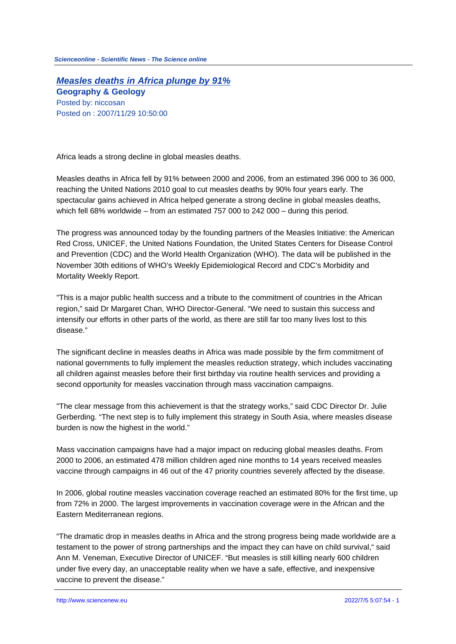**Measles deaths in Africa plunge by 91% Geography & Geology** Posted by: niccosan Posted on : 2007/11/29 10:50:00

Africa leads a strong decline in global measles deaths.

Measles deaths in Africa fell by 91% between 2000 and 2006, from an estimated 396 000 to 36 000, reaching the United Nations 2010 goal to cut measles deaths by 90% four years early. The spectacular gains achieved in Africa helped generate a strong decline in global measles deaths, which fell 68% worldwide – from an estimated 757 000 to 242 000 – during this period.

The progress was announced today by the founding partners of the Measles Initiative: the American Red Cross, UNICEF, the United Nations Foundation, the United States Centers for Disease Control and Prevention (CDC) and the World Health Organization (WHO). The data will be published in the November 30th editions of WHO's Weekly Epidemiological Record and CDC's Morbidity and Mortality Weekly Report.

"This is a major public health success and a tribute to the commitment of countries in the African region," said Dr Margaret Chan, WHO Director-General. "We need to sustain this success and intensify our efforts in other parts of the world, as there are still far too many lives lost to this disease."

The significant decline in measles deaths in Africa was made possible by the firm commitment of national governments to fully implement the measles reduction strategy, which includes vaccinating all children against measles before their first birthday via routine health services and providing a second opportunity for measles vaccination through mass vaccination campaigns.

"The clear message from this achievement is that the strategy works," said CDC Director Dr. Julie Gerberding. "The next step is to fully implement this strategy in South Asia, where measles disease burden is now the highest in the world."

Mass vaccination campaigns have had a major impact on reducing global measles deaths. From 2000 to 2006, an estimated 478 million children aged nine months to 14 years received measles vaccine through campaigns in 46 out of the 47 priority countries severely affected by the disease.

In 2006, global routine measles vaccination coverage reached an estimated 80% for the first time, up from 72% in 2000. The largest improvements in vaccination coverage were in the African and the Eastern Mediterranean regions.

"The dramatic drop in measles deaths in Africa and the strong progress being made worldwide are a testament to the power of strong partnerships and the impact they can have on child survival," said Ann M. Veneman, Executive Director of UNICEF. "But measles is still killing nearly 600 children under five every day, an unacceptable reality when we have a safe, effective, and inexpensive vaccine to prevent the disease."